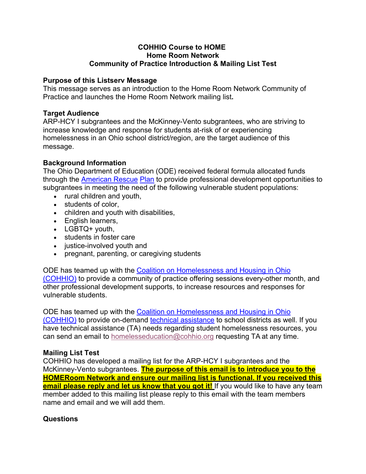# **COHHIO Course to HOME Home Room Network Community of Practice Introduction & Mailing List Test**

### **Purpose of this Listserv Message**

This message serves as an introduction to the Home Room Network Community of Practice and launches the Home Room Network mailing list**.**

### **Target Audience**

ARP-HCY I subgrantees and the McKinney-Vento subgrantees, who are striving to increase knowledge and response for students at-risk of or experiencing homelessness in an Ohio school district/region, are the target audience of this message.

### **Background Information**

The Ohio Department of Education (ODE) received federal formula allocated funds through the American Rescue Plan to provide professional development opportunities to subgrantees in meeting the need of the following vulnerable student populations:

- rural children and youth,
- students of color,
- children and youth with disabilities,
- English learners,
- LGBTQ+ youth,
- students in foster care
- justice-involved youth and
- pregnant, parenting, or caregiving students

ODE has teamed up with the Coalition on Homelessness and Housing in Ohio (COHHIO) to provide a community of practice offering sessions every-other month, and other professional development supports, to increase resources and responses for vulnerable students.

ODE has teamed up with the Coalition on Homelessness and Housing in Ohio (COHHIO) to provide on-demand technical assistance to school districts as well. If you have technical assistance (TA) needs regarding student homelessness resources, you can send an email to homelesseducation@cohhio.org requesting TA at any time.

## **Mailing List Test**

COHHIO has developed a mailing list for the ARP-HCY I subgrantees and the McKinney-Vento subgrantees. **The purpose of this email is to introduce you to the HOMERoom Network and ensure our mailing list is functional. If you received this email please reply and let us know that you got it!** If you would like to have any team member added to this mailing list please reply to this email with the team members name and email and we will add them.

#### **Questions**